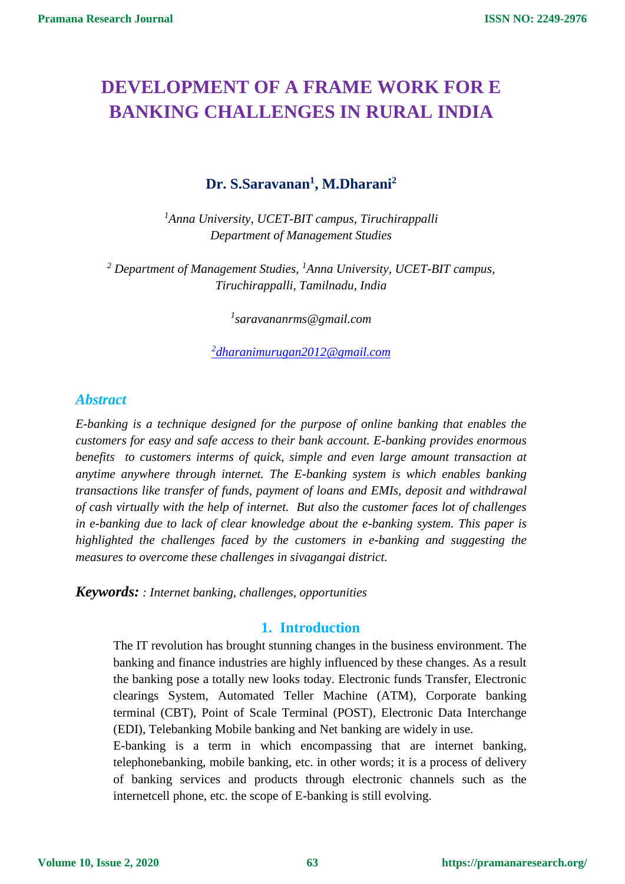# **DEVELOPMENT OF A FRAME WORK FOR E BANKING CHALLENGES IN RURAL INDIA**

## **Dr. S.Saravanan<sup>1</sup> , M.Dharani<sup>2</sup>**

*<sup>1</sup>Anna University, UCET-BIT campus, Tiruchirappalli Department of Management Studies*

*<sup>2</sup> Department of Management Studies, <sup>1</sup>Anna University, UCET-BIT campus, Tiruchirappalli, Tamilnadu, India*

*1 saravananrms@gmail.com*

*2 [dharanimurugan2012@gmail.com](mailto:2dharanimurugan2012@gmail.com)*

#### *Abstract*

*E-banking is a technique designed for the purpose of online banking that enables the customers for easy and safe access to their bank account. E-banking provides enormous benefits to customers interms of quick, simple and even large amount transaction at anytime anywhere through internet. The E-banking system is which enables banking transactions like transfer of funds, payment of loans and EMIs, deposit and withdrawal of cash virtually with the help of internet. But also the customer faces lot of challenges in e-banking due to lack of clear knowledge about the e-banking system. This paper is highlighted the challenges faced by the customers in e-banking and suggesting the measures to overcome these challenges in sivagangai district.*

*Keywords: : Internet banking, challenges, opportunities* 

#### **1. Introduction**

The IT revolution has brought stunning changes in the business environment. The banking and finance industries are highly influenced by these changes. As a result the banking pose a totally new looks today. Electronic funds Transfer, Electronic clearings System, Automated Teller Machine (ATM), Corporate banking terminal (CBT), Point of Scale Terminal (POST), Electronic Data Interchange (EDI), Telebanking Mobile banking and Net banking are widely in use.

E-banking is a term in which encompassing that are internet banking, telephonebanking, mobile banking, etc. in other words; it is a process of delivery of banking services and products through electronic channels such as the internetcell phone, etc. the scope of E-banking is still evolving.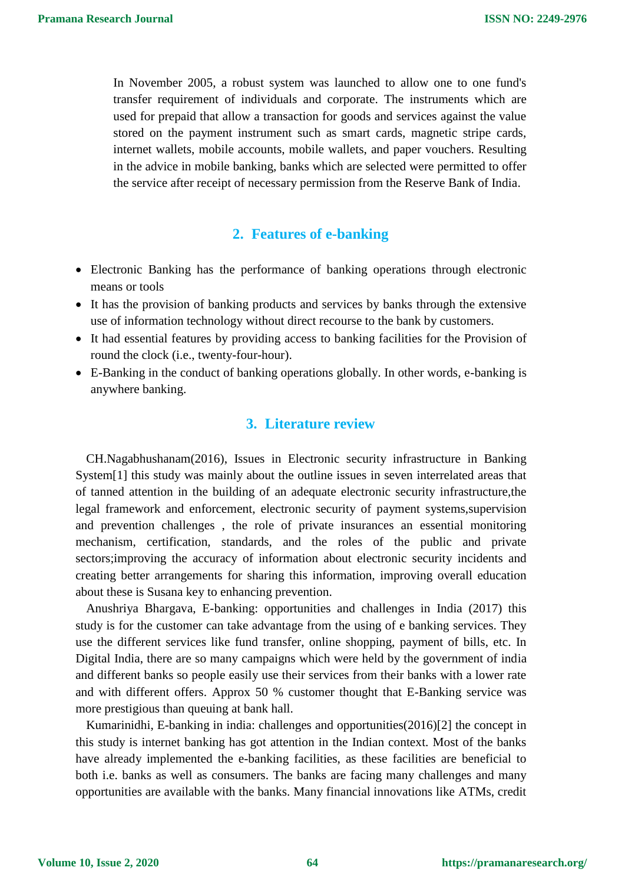In November 2005, a robust system was launched to allow one to one fund's transfer requirement of individuals and corporate. The instruments which are used for prepaid that allow a transaction for goods and services against the value stored on the payment instrument such as smart cards, magnetic stripe cards, internet wallets, mobile accounts, mobile wallets, and paper vouchers. Resulting in the advice in mobile banking, banks which are selected were permitted to offer the service after receipt of necessary permission from the Reserve Bank of India.

#### **2. Features of e-banking**

- Electronic Banking has the performance of banking operations through electronic means or tools
- It has the provision of banking products and services by banks through the extensive use of information technology without direct recourse to the bank by customers.
- It had essential features by providing access to banking facilities for the Provision of round the clock (i.e., twenty-four-hour).
- E-Banking in the conduct of banking operations globally. In other words, e-banking is anywhere banking.

#### **3. Literature review**

CH.Nagabhushanam(2016), Issues in Electronic security infrastructure in Banking System[1] this study was mainly about the outline issues in seven interrelated areas that of tanned attention in the building of an adequate electronic security infrastructure,the legal framework and enforcement, electronic security of payment systems,supervision and prevention challenges , the role of private insurances an essential monitoring mechanism, certification, standards, and the roles of the public and private sectors;improving the accuracy of information about electronic security incidents and creating better arrangements for sharing this information, improving overall education about these is Susana key to enhancing prevention.

Anushriya Bhargava, E-banking: opportunities and challenges in India (2017) this study is for the customer can take advantage from the using of e banking services. They use the different services like fund transfer, online shopping, payment of bills, etc. In Digital India, there are so many campaigns which were held by the government of india and different banks so people easily use their services from their banks with a lower rate and with different offers. Approx 50 % customer thought that E-Banking service was more prestigious than queuing at bank hall.

Kumarinidhi, E-banking in india: challenges and opportunities(2016)[2] the concept in this study is internet banking has got attention in the Indian context. Most of the banks have already implemented the e-banking facilities, as these facilities are beneficial to both i.e. banks as well as consumers. The banks are facing many challenges and many opportunities are available with the banks. Many financial innovations like ATMs, credit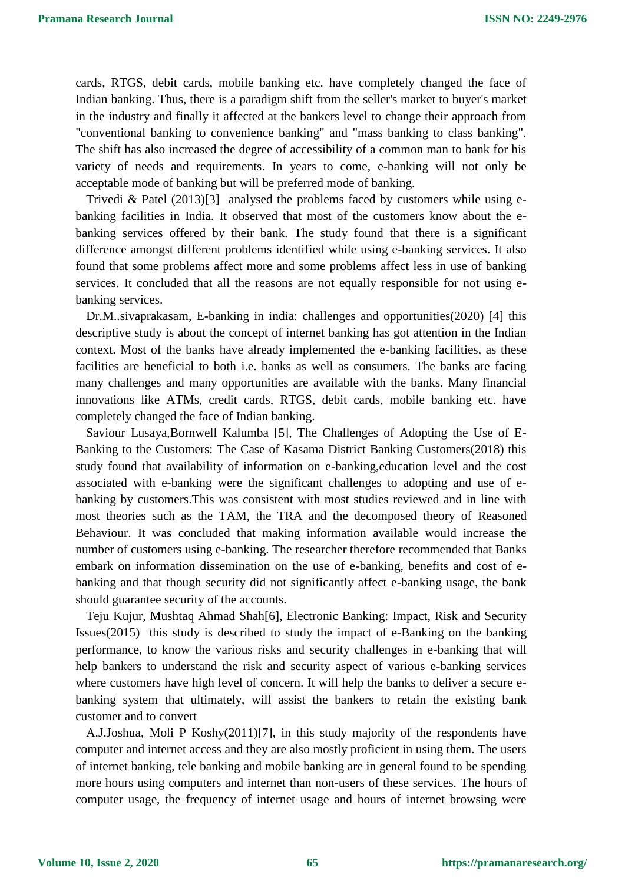cards, RTGS, debit cards, mobile banking etc. have completely changed the face of Indian banking. Thus, there is a paradigm shift from the seller's market to buyer's market in the industry and finally it affected at the bankers level to change their approach from "conventional banking to convenience banking" and "mass banking to class banking". The shift has also increased the degree of accessibility of a common man to bank for his variety of needs and requirements. In years to come, e-banking will not only be acceptable mode of banking but will be preferred mode of banking.

Trivedi & Patel (2013)[3] analysed the problems faced by customers while using ebanking facilities in India. It observed that most of the customers know about the ebanking services offered by their bank. The study found that there is a significant difference amongst different problems identified while using e-banking services. It also found that some problems affect more and some problems affect less in use of banking services. It concluded that all the reasons are not equally responsible for not using ebanking services.

Dr.M..sivaprakasam, E-banking in india: challenges and opportunities(2020) [4] this descriptive study is about the concept of internet banking has got attention in the Indian context. Most of the banks have already implemented the e-banking facilities, as these facilities are beneficial to both i.e. banks as well as consumers. The banks are facing many challenges and many opportunities are available with the banks. Many financial innovations like ATMs, credit cards, RTGS, debit cards, mobile banking etc. have completely changed the face of Indian banking.

Saviour Lusaya,Bornwell Kalumba [5], The Challenges of Adopting the Use of E-Banking to the Customers: The Case of Kasama District Banking Customers(2018) this study found that availability of information on e-banking,education level and the cost associated with e-banking were the significant challenges to adopting and use of ebanking by customers.This was consistent with most studies reviewed and in line with most theories such as the TAM, the TRA and the decomposed theory of Reasoned Behaviour. It was concluded that making information available would increase the number of customers using e-banking. The researcher therefore recommended that Banks embark on information dissemination on the use of e-banking, benefits and cost of ebanking and that though security did not significantly affect e-banking usage, the bank should guarantee security of the accounts.

Teju Kujur, Mushtaq Ahmad Shah[6], Electronic Banking: Impact, Risk and Security Issues(2015) this study is described to study the impact of e-Banking on the banking performance, to know the various risks and security challenges in e-banking that will help bankers to understand the risk and security aspect of various e-banking services where customers have high level of concern. It will help the banks to deliver a secure ebanking system that ultimately, will assist the bankers to retain the existing bank customer and to convert

A.J.Joshua, Moli P Koshy(2011)[7], in this study majority of the respondents have computer and internet access and they are also mostly proficient in using them. The users of internet banking, tele banking and mobile banking are in general found to be spending more hours using computers and internet than non-users of these services. The hours of computer usage, the frequency of internet usage and hours of internet browsing were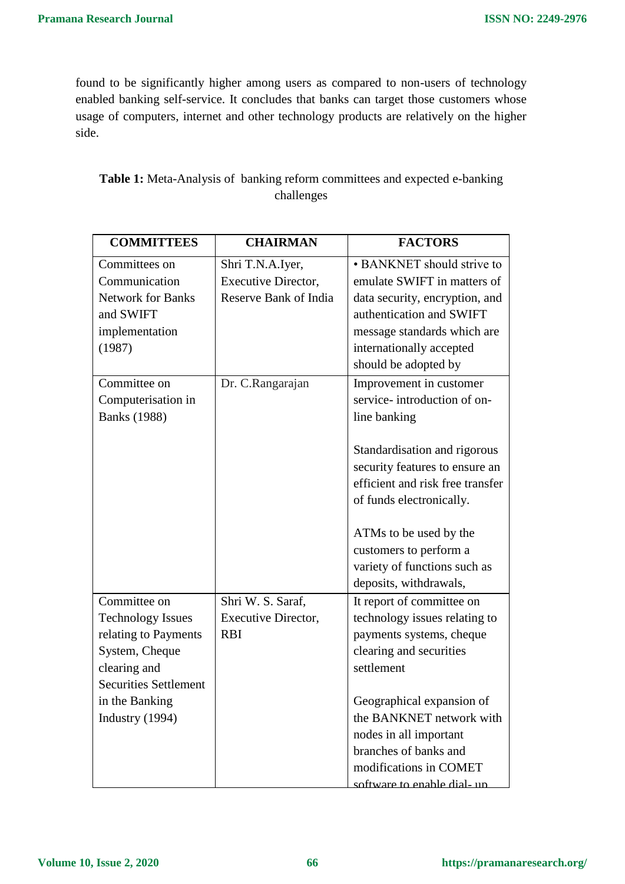found to be significantly higher among users as compared to non-users of technology enabled banking self-service. It concludes that banks can target those customers whose usage of computers, internet and other technology products are relatively on the higher side.

| <b>COMMITTEES</b>                                                                                                                                                         | <b>CHAIRMAN</b>                                                         | <b>FACTORS</b>                                                                                                                                                                                                                                                                                                                |
|---------------------------------------------------------------------------------------------------------------------------------------------------------------------------|-------------------------------------------------------------------------|-------------------------------------------------------------------------------------------------------------------------------------------------------------------------------------------------------------------------------------------------------------------------------------------------------------------------------|
| Committees on<br>Communication<br><b>Network for Banks</b><br>and SWIFT<br>implementation<br>(1987)                                                                       | Shri T.N.A.Iyer,<br><b>Executive Director,</b><br>Reserve Bank of India | • BANKNET should strive to<br>emulate SWIFT in matters of<br>data security, encryption, and<br>authentication and SWIFT<br>message standards which are<br>internationally accepted<br>should be adopted by                                                                                                                    |
| Committee on<br>Computerisation in<br><b>Banks</b> (1988)                                                                                                                 | Dr. C.Rangarajan                                                        | Improvement in customer<br>service- introduction of on-<br>line banking<br>Standardisation and rigorous<br>security features to ensure an<br>efficient and risk free transfer<br>of funds electronically.<br>ATMs to be used by the<br>customers to perform a<br>variety of functions such as                                 |
| Committee on<br><b>Technology Issues</b><br>relating to Payments<br>System, Cheque<br>clearing and<br><b>Securities Settlement</b><br>in the Banking<br>Industry $(1994)$ | Shri W. S. Saraf,<br><b>Executive Director,</b><br><b>RBI</b>           | deposits, withdrawals,<br>It report of committee on<br>technology issues relating to<br>payments systems, cheque<br>clearing and securities<br>settlement<br>Geographical expansion of<br>the BANKNET network with<br>nodes in all important<br>branches of banks and<br>modifications in COMET<br>software to enable dial-un |

# **Table 1:** Meta-Analysis of banking reform committees and expected e-banking challenges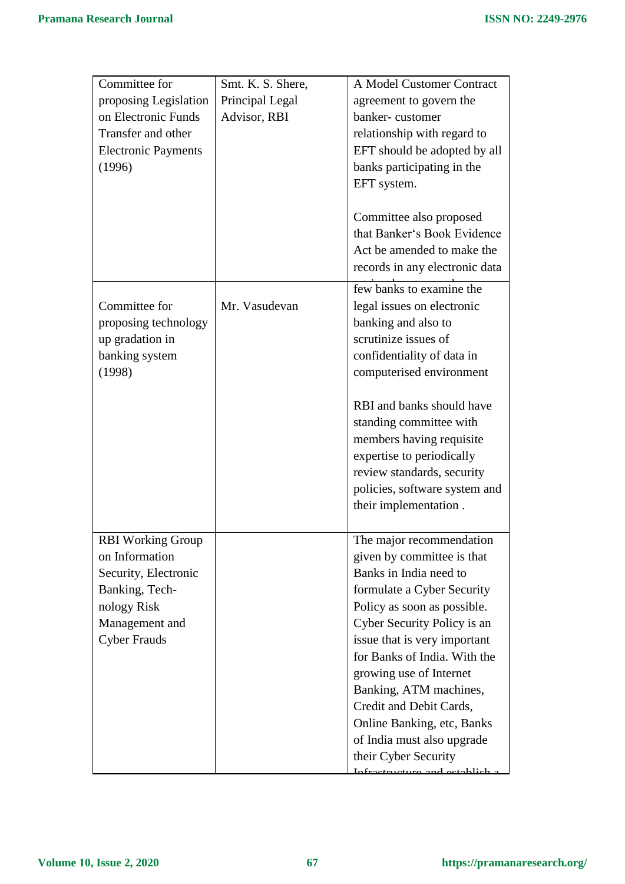| Committee for              | Smt. K. S. Shere, | A Model Customer Contract                                    |
|----------------------------|-------------------|--------------------------------------------------------------|
|                            |                   |                                                              |
| proposing Legislation      | Principal Legal   | agreement to govern the                                      |
| on Electronic Funds        | Advisor, RBI      | banker-customer                                              |
| Transfer and other         |                   | relationship with regard to                                  |
| <b>Electronic Payments</b> |                   | EFT should be adopted by all                                 |
| (1996)                     |                   | banks participating in the                                   |
|                            |                   | EFT system.                                                  |
|                            |                   |                                                              |
|                            |                   | Committee also proposed                                      |
|                            |                   | that Banker's Book Evidence                                  |
|                            |                   | Act be amended to make the                                   |
|                            |                   | records in any electronic data                               |
|                            |                   |                                                              |
|                            |                   | few banks to examine the                                     |
| Committee for              | Mr. Vasudevan     | legal issues on electronic                                   |
| proposing technology       |                   | banking and also to                                          |
| up gradation in            |                   | scrutinize issues of                                         |
| banking system             |                   | confidentiality of data in                                   |
| (1998)                     |                   | computerised environment                                     |
|                            |                   |                                                              |
|                            |                   | RBI and banks should have                                    |
|                            |                   | standing committee with                                      |
|                            |                   | members having requisite                                     |
|                            |                   | expertise to periodically                                    |
|                            |                   | review standards, security                                   |
|                            |                   | policies, software system and                                |
|                            |                   | their implementation.                                        |
|                            |                   |                                                              |
| <b>RBI</b> Working Group   |                   | The major recommendation                                     |
| on Information             |                   | given by committee is that                                   |
| Security, Electronic       |                   | Banks in India need to                                       |
| Banking, Tech-             |                   | formulate a Cyber Security                                   |
| nology Risk                |                   | Policy as soon as possible.                                  |
| Management and             |                   | Cyber Security Policy is an                                  |
|                            |                   |                                                              |
| <b>Cyber Frauds</b>        |                   | issue that is very important<br>for Banks of India. With the |
|                            |                   |                                                              |
|                            |                   | growing use of Internet                                      |
|                            |                   | Banking, ATM machines,                                       |
|                            |                   | Credit and Debit Cards,                                      |
|                            |                   | <b>Online Banking, etc, Banks</b>                            |
|                            |                   | of India must also upgrade                                   |
|                            |                   | their Cyber Security                                         |
|                            |                   | etrusture and establish o                                    |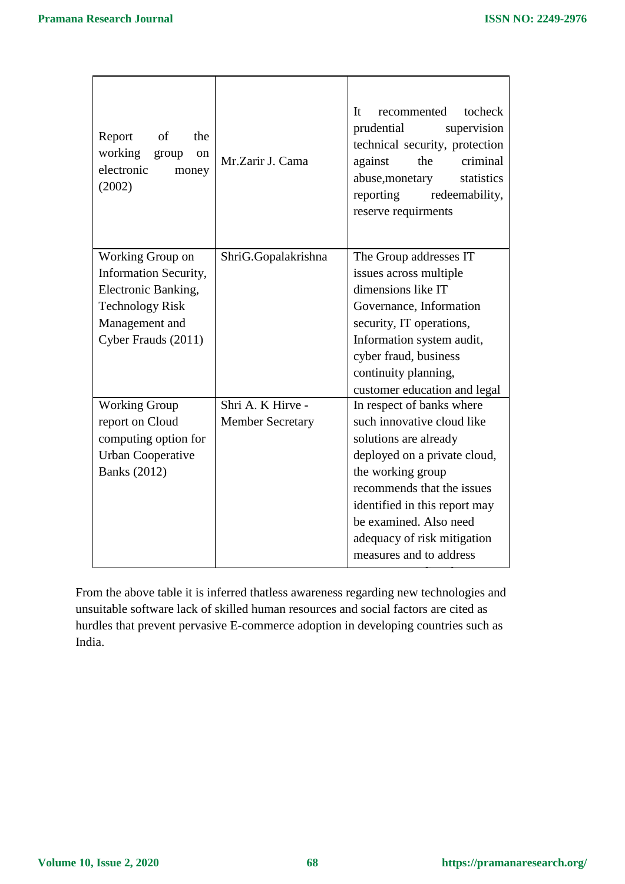$\overline{\mathbf{1}}$ 

| of<br>the<br>Report<br>working group<br><sub>on</sub><br>electronic<br>money<br>(2002)                                              | Mr.Zarir J. Cama                             | tocheck<br>It<br>recommented<br>prudential<br>supervision<br>technical security, protection<br>criminal<br>against<br>the<br>abuse, monetary<br>statistics<br>reporting<br>redeemability,<br>reserve requirments                                                                         |
|-------------------------------------------------------------------------------------------------------------------------------------|----------------------------------------------|------------------------------------------------------------------------------------------------------------------------------------------------------------------------------------------------------------------------------------------------------------------------------------------|
| Working Group on<br>Information Security,<br>Electronic Banking,<br><b>Technology Risk</b><br>Management and<br>Cyber Frauds (2011) | ShriG.Gopalakrishna                          | The Group addresses IT<br>issues across multiple<br>dimensions like IT<br>Governance, Information<br>security, IT operations,<br>Information system audit,<br>cyber fraud, business<br>continuity planning,<br>customer education and legal                                              |
| <b>Working Group</b><br>report on Cloud<br>computing option for<br><b>Urban Cooperative</b><br><b>Banks</b> (2012)                  | Shri A. K Hirve -<br><b>Member Secretary</b> | In respect of banks where<br>such innovative cloud like<br>solutions are already<br>deployed on a private cloud,<br>the working group<br>recommends that the issues<br>identified in this report may<br>be examined. Also need<br>adequacy of risk mitigation<br>measures and to address |

From the above table it is inferred thatless awareness regarding new technologies and unsuitable software lack of skilled human resources and social factors are cited as hurdles that prevent pervasive E-commerce adoption in developing countries such as India.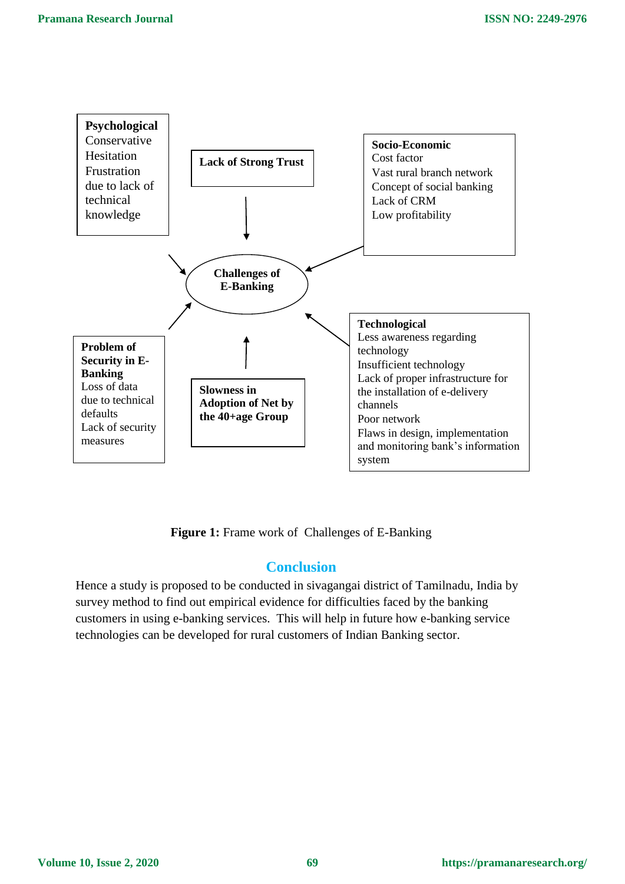

**Figure 1:** Frame work of Challenges of E-Banking

### **Conclusion**

Hence a study is proposed to be conducted in sivagangai district of Tamilnadu, India by survey method to find out empirical evidence for difficulties faced by the banking customers in using e-banking services. This will help in future how e-banking service technologies can be developed for rural customers of Indian Banking sector.